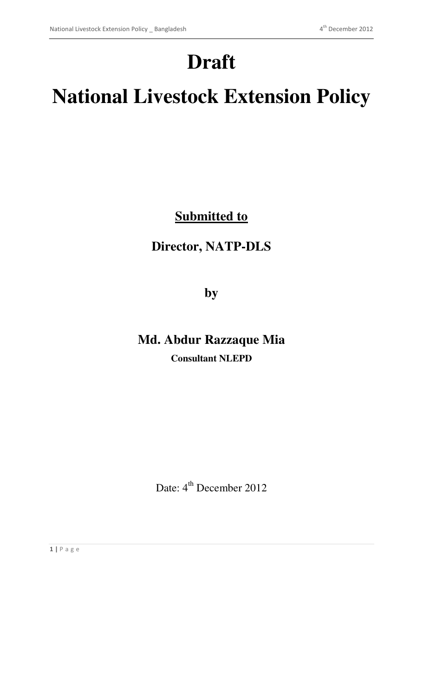# **Draft**

# **National Livestock Extension Policy**

**Submitted to**

### **Director, NATP-DLS**

**by** 

## **Md. Abdur Razzaque Mia Consultant NLEPD**

Date: 4<sup>th</sup> December 2012

**1 |** P a g e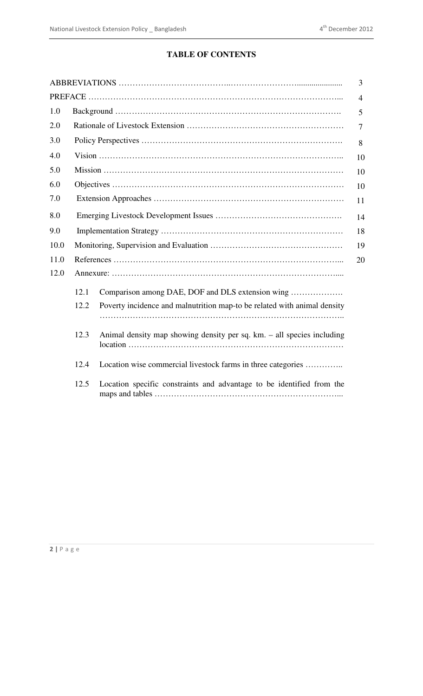#### **TABLE OF CONTENTS**

| 1.0<br>2.0<br>3.0<br>8<br>4.0<br>10<br>5.0<br>6.0<br>7.0<br>8.0<br>14<br>9.0<br>10.0<br>11.0<br>12.0<br>12.1<br>Comparison among DAE, DOF and DLS extension wing<br>Poverty incidence and malnutrition map-to be related with animal density<br>12.2<br>12.3<br>Animal density map showing density per sq. km. - all species including<br>Location wise commercial livestock farms in three categories<br>12.4<br>Location specific constraints and advantage to be identified from the<br>12.5 |  |    |  | 3              |  |
|-------------------------------------------------------------------------------------------------------------------------------------------------------------------------------------------------------------------------------------------------------------------------------------------------------------------------------------------------------------------------------------------------------------------------------------------------------------------------------------------------|--|----|--|----------------|--|
|                                                                                                                                                                                                                                                                                                                                                                                                                                                                                                 |  |    |  | $\overline{4}$ |  |
|                                                                                                                                                                                                                                                                                                                                                                                                                                                                                                 |  | 5  |  |                |  |
|                                                                                                                                                                                                                                                                                                                                                                                                                                                                                                 |  | 7  |  |                |  |
|                                                                                                                                                                                                                                                                                                                                                                                                                                                                                                 |  |    |  |                |  |
|                                                                                                                                                                                                                                                                                                                                                                                                                                                                                                 |  |    |  |                |  |
|                                                                                                                                                                                                                                                                                                                                                                                                                                                                                                 |  | 10 |  |                |  |
|                                                                                                                                                                                                                                                                                                                                                                                                                                                                                                 |  | 10 |  |                |  |
|                                                                                                                                                                                                                                                                                                                                                                                                                                                                                                 |  | 11 |  |                |  |
|                                                                                                                                                                                                                                                                                                                                                                                                                                                                                                 |  |    |  |                |  |
|                                                                                                                                                                                                                                                                                                                                                                                                                                                                                                 |  | 18 |  |                |  |
|                                                                                                                                                                                                                                                                                                                                                                                                                                                                                                 |  | 19 |  |                |  |
|                                                                                                                                                                                                                                                                                                                                                                                                                                                                                                 |  | 20 |  |                |  |
|                                                                                                                                                                                                                                                                                                                                                                                                                                                                                                 |  |    |  |                |  |
|                                                                                                                                                                                                                                                                                                                                                                                                                                                                                                 |  |    |  |                |  |
|                                                                                                                                                                                                                                                                                                                                                                                                                                                                                                 |  |    |  |                |  |
|                                                                                                                                                                                                                                                                                                                                                                                                                                                                                                 |  |    |  |                |  |
|                                                                                                                                                                                                                                                                                                                                                                                                                                                                                                 |  |    |  |                |  |
|                                                                                                                                                                                                                                                                                                                                                                                                                                                                                                 |  |    |  |                |  |
|                                                                                                                                                                                                                                                                                                                                                                                                                                                                                                 |  |    |  |                |  |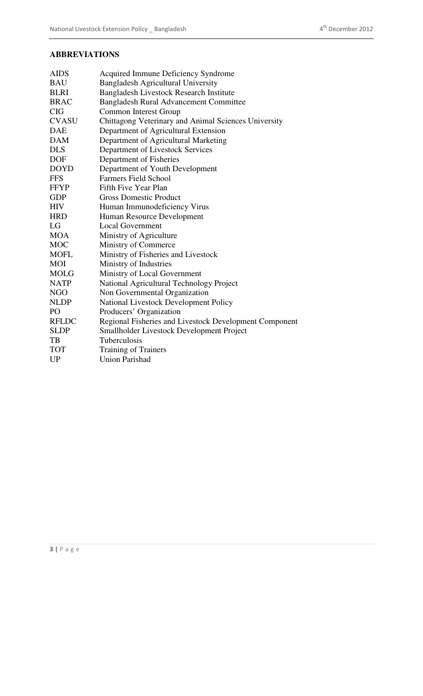#### **ABBREVIATIONS**

| <b>AIDS</b>  | Acquired Immune Deficiency Syndrome                    |
|--------------|--------------------------------------------------------|
| <b>BAU</b>   | <b>Bangladesh Agricultural University</b>              |
| <b>BLRI</b>  | Bangladesh Livestock Research Institute                |
| <b>BRAC</b>  | <b>Bangladesh Rural Advancement Committee</b>          |
| <b>CIG</b>   | <b>Common Interest Group</b>                           |
| <b>CVASU</b> | Chittagong Veterinary and Animal Sciences University   |
| <b>DAE</b>   | Department of Agricultural Extension                   |
| <b>DAM</b>   | Department of Agricultural Marketing                   |
| <b>DLS</b>   | Department of Livestock Services                       |
| <b>DOF</b>   | Department of Fisheries                                |
| <b>DOYD</b>  | Department of Youth Development                        |
| <b>FFS</b>   | <b>Farmers Field School</b>                            |
| <b>FFYP</b>  | Fifth Five Year Plan                                   |
| <b>GDP</b>   | <b>Gross Domestic Product</b>                          |
| <b>HIV</b>   | Human Immunodeficiency Virus                           |
| <b>HRD</b>   | Human Resource Development                             |
| LG           | <b>Local Government</b>                                |
| <b>MOA</b>   | Ministry of Agriculture                                |
| <b>MOC</b>   | Ministry of Commerce                                   |
| <b>MOFL</b>  | Ministry of Fisheries and Livestock                    |
| <b>MOI</b>   | Ministry of Industries                                 |
| <b>MOLG</b>  | Ministry of Local Government                           |
| <b>NATP</b>  | National Agricultural Technology Project               |
| <b>NGO</b>   | Non Governmental Organization                          |
| <b>NLDP</b>  | National Livestock Development Policy                  |
| PO           | Producers' Organization                                |
| <b>RFLDC</b> | Regional Fisheries and Livestock Development Component |
| <b>SLDP</b>  | Smallholder Livestock Development Project              |
| TB           | Tuberculosis                                           |
| <b>TOT</b>   | <b>Training of Trainers</b>                            |
| <b>UP</b>    | <b>Union Parishad</b>                                  |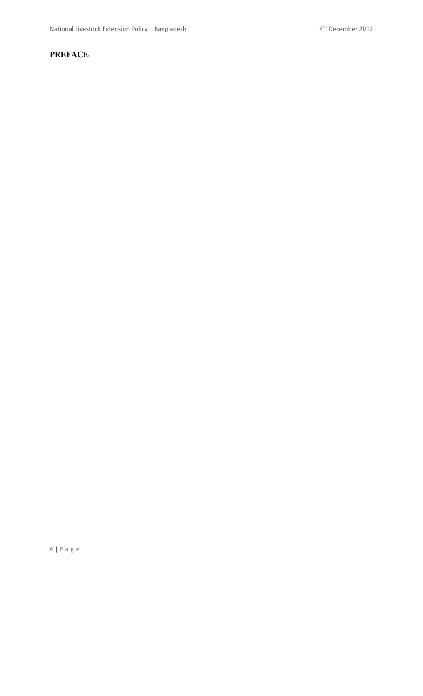#### **PREFACE**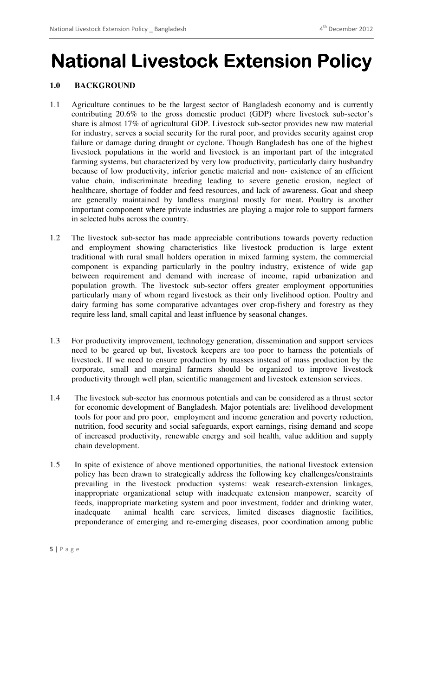## **National Livestock Extension Policy**

#### **1.0 BACKGROUND**

- 1.1 Agriculture continues to be the largest sector of Bangladesh economy and is currently contributing 20.6% to the gross domestic product (GDP) where livestock sub-sector's share is almost 17% of agricultural GDP. Livestock sub-sector provides new raw material for industry, serves a social security for the rural poor, and provides security against crop failure or damage during draught or cyclone. Though Bangladesh has one of the highest livestock populations in the world and livestock is an important part of the integrated farming systems, but characterized by very low productivity, particularly dairy husbandry because of low productivity, inferior genetic material and non- existence of an efficient value chain, indiscriminate breeding leading to severe genetic erosion, neglect of healthcare, shortage of fodder and feed resources, and lack of awareness. Goat and sheep are generally maintained by landless marginal mostly for meat. Poultry is another important component where private industries are playing a major role to support farmers in selected hubs across the country.
- 1.2 The livestock sub-sector has made appreciable contributions towards poverty reduction and employment showing characteristics like livestock production is large extent traditional with rural small holders operation in mixed farming system, the commercial component is expanding particularly in the poultry industry, existence of wide gap between requirement and demand with increase of income, rapid urbanization and population growth. The livestock sub-sector offers greater employment opportunities particularly many of whom regard livestock as their only livelihood option. Poultry and dairy farming has some comparative advantages over crop-fishery and forestry as they require less land, small capital and least influence by seasonal changes.
- 1.3 For productivity improvement, technology generation, dissemination and support services need to be geared up but, livestock keepers are too poor to harness the potentials of livestock. If we need to ensure production by masses instead of mass production by the corporate, small and marginal farmers should be organized to improve livestock productivity through well plan, scientific management and livestock extension services.
- 1.4 The livestock sub-sector has enormous potentials and can be considered as a thrust sector for economic development of Bangladesh. Major potentials are: livelihood development tools for poor and pro poor, employment and income generation and poverty reduction, nutrition, food security and social safeguards, export earnings, rising demand and scope of increased productivity, renewable energy and soil health, value addition and supply chain development.
- 1.5 In spite of existence of above mentioned opportunities, the national livestock extension policy has been drawn to strategically address the following key challenges/constraints prevailing in the livestock production systems: weak research-extension linkages, inappropriate organizational setup with inadequate extension manpower, scarcity of feeds, inappropriate marketing system and poor investment, fodder and drinking water, inadequate animal health care services, limited diseases diagnostic facilities, preponderance of emerging and re-emerging diseases, poor coordination among public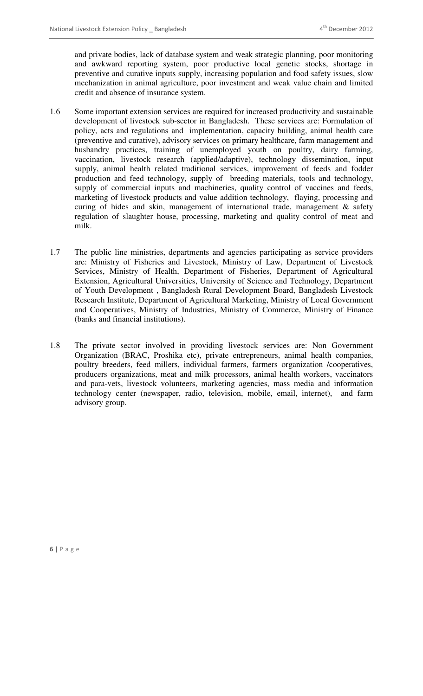and private bodies, lack of database system and weak strategic planning, poor monitoring and awkward reporting system, poor productive local genetic stocks, shortage in preventive and curative inputs supply, increasing population and food safety issues, slow mechanization in animal agriculture, poor investment and weak value chain and limited credit and absence of insurance system.

- 1.6 Some important extension services are required for increased productivity and sustainable development of livestock sub-sector in Bangladesh. These services are: Formulation of policy, acts and regulations and implementation, capacity building, animal health care (preventive and curative), advisory services on primary healthcare, farm management and husbandry practices, training of unemployed youth on poultry, dairy farming, vaccination, livestock research (applied/adaptive), technology dissemination, input supply, animal health related traditional services, improvement of feeds and fodder production and feed technology, supply of breeding materials, tools and technology, supply of commercial inputs and machineries, quality control of vaccines and feeds, marketing of livestock products and value addition technology, flaying, processing and curing of hides and skin, management of international trade, management  $\&$  safety regulation of slaughter house, processing, marketing and quality control of meat and milk.
- 1.7 The public line ministries, departments and agencies participating as service providers are: Ministry of Fisheries and Livestock, Ministry of Law, Department of Livestock Services, Ministry of Health, Department of Fisheries, Department of Agricultural Extension, Agricultural Universities, University of Science and Technology, Department of Youth Development , Bangladesh Rural Development Board, Bangladesh Livestock Research Institute, Department of Agricultural Marketing, Ministry of Local Government and Cooperatives, Ministry of Industries, Ministry of Commerce, Ministry of Finance (banks and financial institutions).
- 1.8 The private sector involved in providing livestock services are: Non Government Organization (BRAC, Proshika etc), private entrepreneurs, animal health companies, poultry breeders, feed millers, individual farmers, farmers organization /cooperatives, producers organizations, meat and milk processors, animal health workers, vaccinators and para-vets, livestock volunteers, marketing agencies, mass media and information technology center (newspaper, radio, television, mobile, email, internet), and farm advisory group.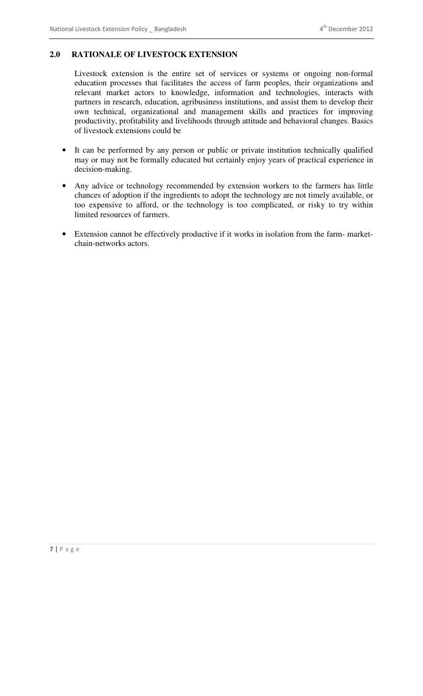#### **2.0 RATIONALE OF LIVESTOCK EXTENSION**

Livestock extension is the entire set of services or systems or ongoing non-formal education processes that facilitates the access of farm peoples, their organizations and relevant market actors to knowledge, information and technologies, interacts with partners in research, education, agribusiness institutions, and assist them to develop their own technical, organizational and management skills and practices for improving productivity, profitability and livelihoods through attitude and behavioral changes. Basics of livestock extensions could be

- It can be performed by any person or public or private institution technically qualified may or may not be formally educated but certainly enjoy years of practical experience in decision-making.
- Any advice or technology recommended by extension workers to the farmers has little chances of adoption if the ingredients to adopt the technology are not timely available, or too expensive to afford, or the technology is too complicated, or risky to try within limited resources of farmers.
- Extension cannot be effectively productive if it works in isolation from the farmmarketchain-networks actors.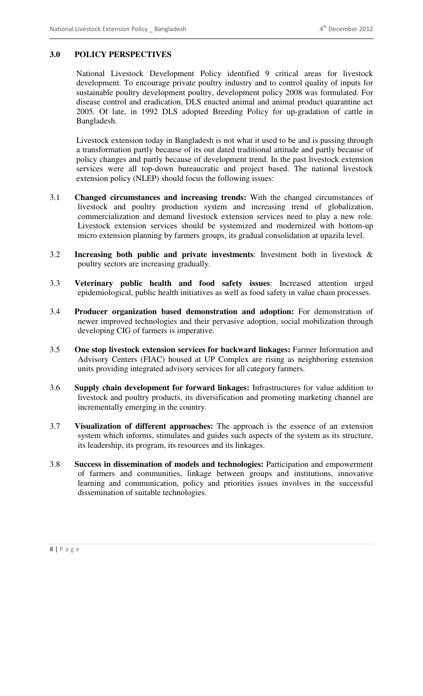#### **3.0 POLICY PERSPECTIVES**

National Livestock Development Policy identified 9 critical areas for livestock development. To encourage private poultry industry and to control quality of inputs for sustainable poultry development poultry, development policy 2008 was formulated. For disease control and eradication, DLS enacted animal and animal product quarantine act 2005. Of late, in 1992 DLS adopted Breeding Policy for up-gradation of cattle in Bangladesh.

Livestock extension today in Bangladesh is not what it used to be and is passing through a transformation partly because of its out dated traditional attitude and partly because of policy changes and partly because of development trend. In the past livestock extension services were all top-down bureaucratic and project based. The national livestock extension policy (NLEP) should focus the following issues:

- 3.1 **Changed circumstances and increasing trends:** With the changed circumstances of livestock and poultry production system and increasing trend of globalization, commercialization and demand livestock extension services need to play a new role. Livestock extension services should be systemized and modernized with bottom-up micro extension planning by farmers groups, its gradual consolidation at upazila level.
- 3.2 **Increasing both public and private investments**: Investment both in livestock & poultry sectors are increasing gradually.
- 3.3 **Veterinary public health and food safety issues**: Increased attention urged epidemiological, public health initiatives as well as food safety in value chain processes.
- 3.4 **Producer organization based demonstration and adoption:** For demonstration of newer improved technologies and their pervasive adoption, social mobilization through developing CIG of farmers is imperative.
- 3.5 **One stop livestock extension services for backward linkages:** Farmer Information and Advisory Centers (FIAC) housed at UP Complex are rising as neighboring extension units providing integrated advisory services for all category farmers.
- 3.6 **Supply chain development for forward linkages:** Infrastructures for value addition to livestock and poultry products, its diversification and promoting marketing channel are incrementally emerging in the country.
- 3.7 **Visualization of different approaches:** The approach is the essence of an extension system which informs, stimulates and guides such aspects of the system as its structure, its leadership, its program, its resources and its linkages.
- 3.8 **Success in dissemination of models and technologies:** Participation and empowerment of farmers and communities, linkage between groups and institutions, innovative learning and communication, policy and priorities issues involves in the successful dissemination of suitable technologies.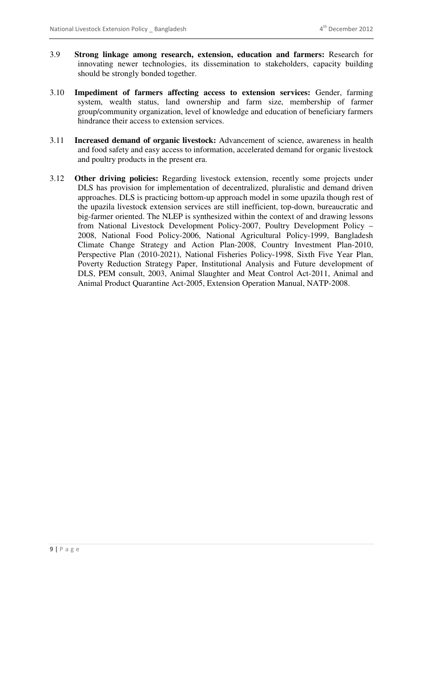- 3.9 **Strong linkage among research, extension, education and farmers:** Research for innovating newer technologies, its dissemination to stakeholders, capacity building should be strongly bonded together.
- 3.10 **Impediment of farmers affecting access to extension services:** Gender, farming system, wealth status, land ownership and farm size, membership of farmer group/community organization, level of knowledge and education of beneficiary farmers hindrance their access to extension services.
- 3.11 **Increased demand of organic livestock:** Advancement of science, awareness in health and food safety and easy access to information, accelerated demand for organic livestock and poultry products in the present era.
- 3.12 **Other driving policies:** Regarding livestock extension, recently some projects under DLS has provision for implementation of decentralized, pluralistic and demand driven approaches. DLS is practicing bottom-up approach model in some upazila though rest of the upazila livestock extension services are still inefficient, top-down, bureaucratic and big-farmer oriented. The NLEP is synthesized within the context of and drawing lessons from National Livestock Development Policy-2007, Poultry Development Policy – 2008, National Food Policy-2006, National Agricultural Policy-1999, Bangladesh Climate Change Strategy and Action Plan-2008, Country Investment Plan-2010, Perspective Plan (2010-2021), National Fisheries Policy-1998, Sixth Five Year Plan, Poverty Reduction Strategy Paper, Institutional Analysis and Future development of DLS, PEM consult, 2003, Animal Slaughter and Meat Control Act-2011, Animal and Animal Product Quarantine Act-2005, Extension Operation Manual, NATP-2008.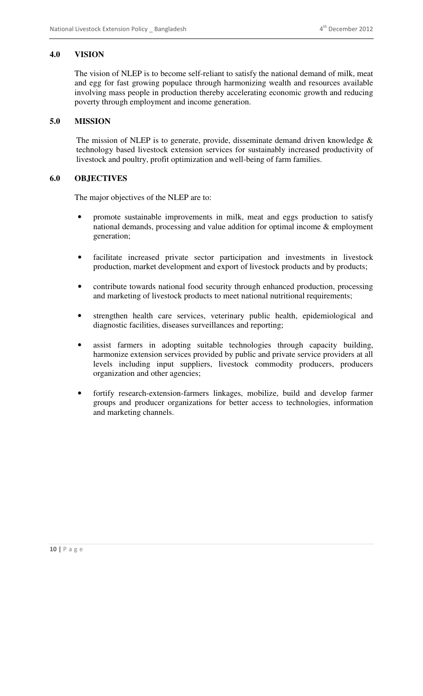#### **4.0 VISION**

The vision of NLEP is to become self-reliant to satisfy the national demand of milk, meat and egg for fast growing populace through harmonizing wealth and resources available involving mass people in production thereby accelerating economic growth and reducing poverty through employment and income generation.

#### **5.0 MISSION**

The mission of NLEP is to generate, provide, disseminate demand driven knowledge & technology based livestock extension services for sustainably increased productivity of livestock and poultry, profit optimization and well-being of farm families.

#### **6.0 OBJECTIVES**

The major objectives of the NLEP are to:

- promote sustainable improvements in milk, meat and eggs production to satisfy national demands, processing and value addition for optimal income & employment generation;
- facilitate increased private sector participation and investments in livestock production, market development and export of livestock products and by products;
- contribute towards national food security through enhanced production, processing and marketing of livestock products to meet national nutritional requirements;
- strengthen health care services, veterinary public health, epidemiological and diagnostic facilities, diseases surveillances and reporting;
- assist farmers in adopting suitable technologies through capacity building, harmonize extension services provided by public and private service providers at all levels including input suppliers, livestock commodity producers, producers organization and other agencies;
- fortify research-extension-farmers linkages, mobilize, build and develop farmer groups and producer organizations for better access to technologies, information and marketing channels.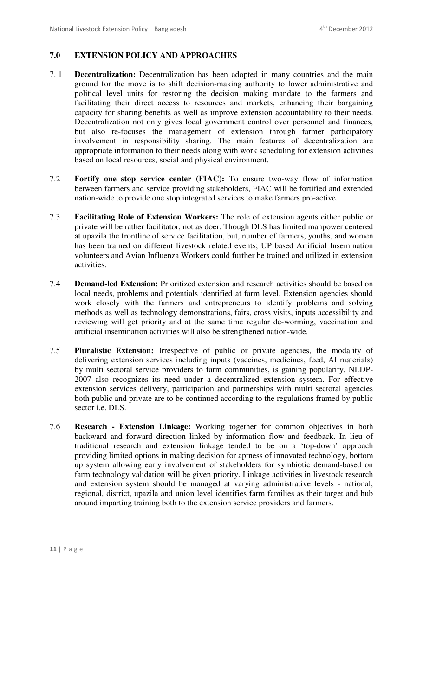#### **7.0 EXTENSION POLICY AND APPROACHES**

- 7. 1 **Decentralization:** Decentralization has been adopted in many countries and the main ground for the move is to shift decision-making authority to lower administrative and political level units for restoring the decision making mandate to the farmers and facilitating their direct access to resources and markets, enhancing their bargaining capacity for sharing benefits as well as improve extension accountability to their needs. Decentralization not only gives local government control over personnel and finances, but also re-focuses the management of extension through farmer participatory involvement in responsibility sharing. The main features of decentralization are appropriate information to their needs along with work scheduling for extension activities based on local resources, social and physical environment.
- 7.2 **Fortify one stop service center (FIAC):** To ensure two-way flow of information between farmers and service providing stakeholders, FIAC will be fortified and extended nation-wide to provide one stop integrated services to make farmers pro-active.
- 7.3 **Facilitating Role of Extension Workers:** The role of extension agents either public or private will be rather facilitator, not as doer. Though DLS has limited manpower centered at upazila the frontline of service facilitation, but, number of farmers, youths, and women has been trained on different livestock related events; UP based Artificial Insemination volunteers and Avian Influenza Workers could further be trained and utilized in extension activities.
- 7.4 **Demand-led Extension:** Prioritized extension and research activities should be based on local needs, problems and potentials identified at farm level. Extension agencies should work closely with the farmers and entrepreneurs to identify problems and solving methods as well as technology demonstrations, fairs, cross visits, inputs accessibility and reviewing will get priority and at the same time regular de-worming, vaccination and artificial insemination activities will also be strengthened nation-wide.
- 7.5 **Pluralistic Extension:** Irrespective of public or private agencies, the modality of delivering extension services including inputs (vaccines, medicines, feed, AI materials) by multi sectoral service providers to farm communities, is gaining popularity. NLDP-2007 also recognizes its need under a decentralized extension system. For effective extension services delivery, participation and partnerships with multi sectoral agencies both public and private are to be continued according to the regulations framed by public sector i.e. DLS.
- 7.6 **Research Extension Linkage:** Working together for common objectives in both backward and forward direction linked by information flow and feedback. In lieu of traditional research and extension linkage tended to be on a 'top-down' approach providing limited options in making decision for aptness of innovated technology, bottom up system allowing early involvement of stakeholders for symbiotic demand-based on farm technology validation will be given priority. Linkage activities in livestock research and extension system should be managed at varying administrative levels - national, regional, district, upazila and union level identifies farm families as their target and hub around imparting training both to the extension service providers and farmers.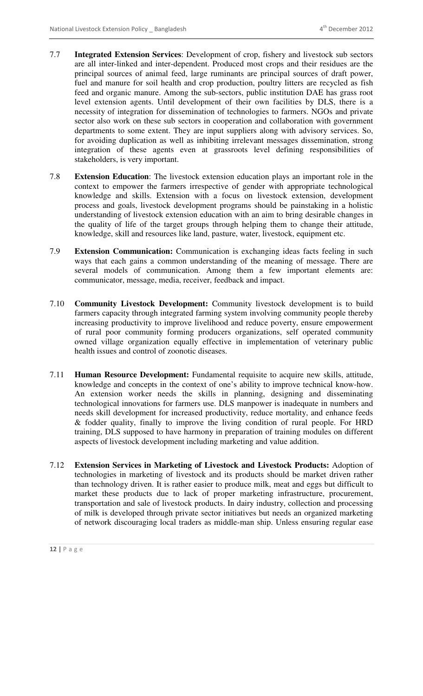- 7.7 **Integrated Extension Services**: Development of crop, fishery and livestock sub sectors are all inter-linked and inter-dependent. Produced most crops and their residues are the principal sources of animal feed, large ruminants are principal sources of draft power, fuel and manure for soil health and crop production, poultry litters are recycled as fish feed and organic manure. Among the sub-sectors, public institution DAE has grass root level extension agents. Until development of their own facilities by DLS, there is a necessity of integration for dissemination of technologies to farmers. NGOs and private sector also work on these sub sectors in cooperation and collaboration with government departments to some extent. They are input suppliers along with advisory services. So, for avoiding duplication as well as inhibiting irrelevant messages dissemination, strong integration of these agents even at grassroots level defining responsibilities of stakeholders, is very important.
- 7.8 **Extension Education**: The livestock extension education plays an important role in the context to empower the farmers irrespective of gender with appropriate technological knowledge and skills. Extension with a focus on livestock extension, development process and goals, livestock development programs should be painstaking in a holistic understanding of livestock extension education with an aim to bring desirable changes in the quality of life of the target groups through helping them to change their attitude, knowledge, skill and resources like land, pasture, water, livestock, equipment etc.
- 7.9 **Extension Communication:** Communication is exchanging ideas facts feeling in such ways that each gains a common understanding of the meaning of message. There are several models of communication. Among them a few important elements are: communicator, message, media, receiver, feedback and impact.
- 7.10 **Community Livestock Development:** Community livestock development is to build farmers capacity through integrated farming system involving community people thereby increasing productivity to improve livelihood and reduce poverty, ensure empowerment of rural poor community forming producers organizations, self operated community owned village organization equally effective in implementation of veterinary public health issues and control of zoonotic diseases.
- 7.11 **Human Resource Development:** Fundamental requisite to acquire new skills, attitude, knowledge and concepts in the context of one's ability to improve technical know-how. An extension worker needs the skills in planning, designing and disseminating technological innovations for farmers use. DLS manpower is inadequate in numbers and needs skill development for increased productivity, reduce mortality, and enhance feeds & fodder quality, finally to improve the living condition of rural people. For HRD training, DLS supposed to have harmony in preparation of training modules on different aspects of livestock development including marketing and value addition.
- 7.12 **Extension Services in Marketing of Livestock and Livestock Products:** Adoption of technologies in marketing of livestock and its products should be market driven rather than technology driven. It is rather easier to produce milk, meat and eggs but difficult to market these products due to lack of proper marketing infrastructure, procurement, transportation and sale of livestock products. In dairy industry, collection and processing of milk is developed through private sector initiatives but needs an organized marketing of network discouraging local traders as middle-man ship. Unless ensuring regular ease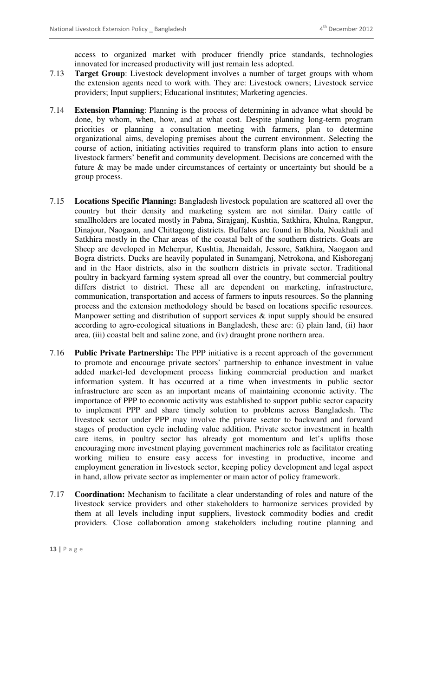access to organized market with producer friendly price standards, technologies innovated for increased productivity will just remain less adopted.

- 7.13 **Target Group**: Livestock development involves a number of target groups with whom the extension agents need to work with. They are: Livestock owners; Livestock service providers; Input suppliers; Educational institutes; Marketing agencies.
- 7.14 **Extension Planning**: Planning is the process of determining in advance what should be done, by whom, when, how, and at what cost. Despite planning long-term program priorities or planning a consultation meeting with farmers, plan to determine organizational aims, developing premises about the current environment. Selecting the course of action, initiating activities required to transform plans into action to ensure livestock farmers' benefit and community development. Decisions are concerned with the future & may be made under circumstances of certainty or uncertainty but should be a group process.
- 7.15 **Locations Specific Planning:** Bangladesh livestock population are scattered all over the country but their density and marketing system are not similar. Dairy cattle of smallholders are located mostly in Pabna, Sirajganj, Kushtia, Satkhira, Khulna, Rangpur, Dinajour, Naogaon, and Chittagong districts. Buffalos are found in Bhola, Noakhali and Satkhira mostly in the Char areas of the coastal belt of the southern districts. Goats are Sheep are developed in Meherpur, Kushtia, Jhenaidah, Jessore, Satkhira, Naogaon and Bogra districts. Ducks are heavily populated in Sunamganj, Netrokona, and Kishoreganj and in the Haor districts, also in the southern districts in private sector. Traditional poultry in backyard farming system spread all over the country, but commercial poultry differs district to district. These all are dependent on marketing, infrastructure, communication, transportation and access of farmers to inputs resources. So the planning process and the extension methodology should be based on locations specific resources. Manpower setting and distribution of support services  $\&$  input supply should be ensured according to agro-ecological situations in Bangladesh, these are: (i) plain land, (ii) haor area, (iii) coastal belt and saline zone, and (iv) draught prone northern area.
- 7.16 **Public Private Partnership:** The PPP initiative is a recent approach of the government to promote and encourage private sectors' partnership to enhance investment in value added market-led development process linking commercial production and market information system. It has occurred at a time when investments in public sector infrastructure are seen as an important means of maintaining economic activity. The importance of PPP to economic activity was established to support public sector capacity to implement PPP and share timely solution to problems across Bangladesh. The livestock sector under PPP may involve the private sector to backward and forward stages of production cycle including value addition. Private sector investment in health care items, in poultry sector has already got momentum and let's uplifts those encouraging more investment playing government machineries role as facilitator creating working milieu to ensure easy access for investing in productive, income and employment generation in livestock sector, keeping policy development and legal aspect in hand, allow private sector as implementer or main actor of policy framework.
- 7.17 **Coordination:** Mechanism to facilitate a clear understanding of roles and nature of the livestock service providers and other stakeholders to harmonize services provided by them at all levels including input suppliers, livestock commodity bodies and credit providers. Close collaboration among stakeholders including routine planning and

**<sup>13 |</sup>** P a g e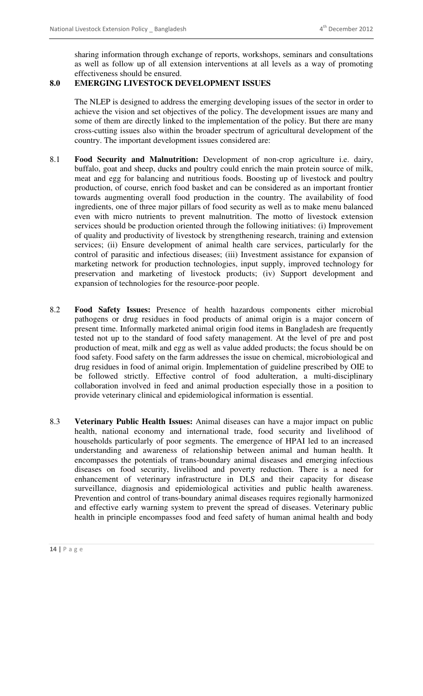sharing information through exchange of reports, workshops, seminars and consultations as well as follow up of all extension interventions at all levels as a way of promoting effectiveness should be ensured.

#### **8.0 EMERGING LIVESTOCK DEVELOPMENT ISSUES**

The NLEP is designed to address the emerging developing issues of the sector in order to achieve the vision and set objectives of the policy. The development issues are many and some of them are directly linked to the implementation of the policy. But there are many cross-cutting issues also within the broader spectrum of agricultural development of the country. The important development issues considered are:

- 8.1 **Food Security and Malnutrition:** Development of non-crop agriculture i.e. dairy, buffalo, goat and sheep, ducks and poultry could enrich the main protein source of milk, meat and egg for balancing and nutritious foods. Boosting up of livestock and poultry production, of course, enrich food basket and can be considered as an important frontier towards augmenting overall food production in the country. The availability of food ingredients, one of three major pillars of food security as well as to make menu balanced even with micro nutrients to prevent malnutrition. The motto of livestock extension services should be production oriented through the following initiatives: (i) Improvement of quality and productivity of livestock by strengthening research, training and extension services; (ii) Ensure development of animal health care services, particularly for the control of parasitic and infectious diseases; (iii) Investment assistance for expansion of marketing network for production technologies, input supply, improved technology for preservation and marketing of livestock products; (iv) Support development and expansion of technologies for the resource-poor people.
- 8.2 **Food Safety Issues:** Presence of health hazardous components either microbial pathogens or drug residues in food products of animal origin is a major concern of present time. Informally marketed animal origin food items in Bangladesh are frequently tested not up to the standard of food safety management. At the level of pre and post production of meat, milk and egg as well as value added products; the focus should be on food safety. Food safety on the farm addresses the issue on chemical, microbiological and drug residues in food of animal origin. Implementation of guideline prescribed by OIE to be followed strictly. Effective control of food adulteration, a multi-disciplinary collaboration involved in feed and animal production especially those in a position to provide veterinary clinical and epidemiological information is essential.
- 8.3 **Veterinary Public Health Issues:** Animal diseases can have a major impact on public health, national economy and international trade, food security and livelihood of households particularly of poor segments. The emergence of HPAI led to an increased understanding and awareness of relationship between animal and human health. It encompasses the potentials of trans-boundary animal diseases and emerging infectious diseases on food security, livelihood and poverty reduction. There is a need for enhancement of veterinary infrastructure in DLS and their capacity for disease surveillance, diagnosis and epidemiological activities and public health awareness. Prevention and control of trans-boundary animal diseases requires regionally harmonized and effective early warning system to prevent the spread of diseases. Veterinary public health in principle encompasses food and feed safety of human animal health and body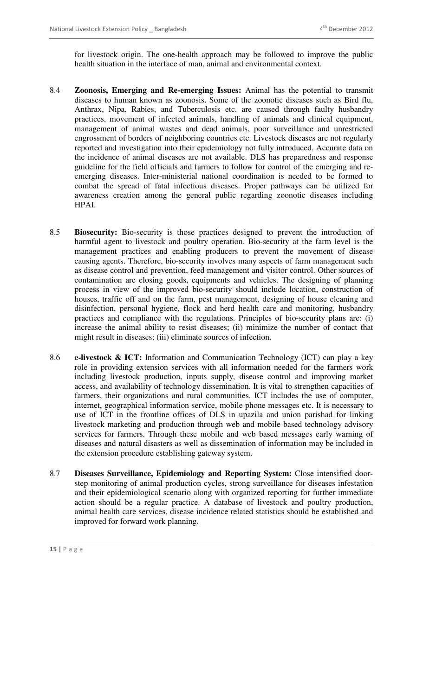for livestock origin. The one-health approach may be followed to improve the public health situation in the interface of man, animal and environmental context.

- 8.4 **Zoonosis, Emerging and Re-emerging Issues:** Animal has the potential to transmit diseases to human known as zoonosis. Some of the zoonotic diseases such as Bird flu, Anthrax, Nipa, Rabies, and Tuberculosis etc. are caused through faulty husbandry practices, movement of infected animals, handling of animals and clinical equipment, management of animal wastes and dead animals, poor surveillance and unrestricted engrossment of borders of neighboring countries etc. Livestock diseases are not regularly reported and investigation into their epidemiology not fully introduced. Accurate data on the incidence of animal diseases are not available. DLS has preparedness and response guideline for the field officials and farmers to follow for control of the emerging and reemerging diseases. Inter-ministerial national coordination is needed to be formed to combat the spread of fatal infectious diseases. Proper pathways can be utilized for awareness creation among the general public regarding zoonotic diseases including HPAI.
- 8.5 **Biosecurity:** Bio-security is those practices designed to prevent the introduction of harmful agent to livestock and poultry operation. Bio-security at the farm level is the management practices and enabling producers to prevent the movement of disease causing agents. Therefore, bio-security involves many aspects of farm management such as disease control and prevention, feed management and visitor control. Other sources of contamination are closing goods, equipments and vehicles. The designing of planning process in view of the improved bio-security should include location, construction of houses, traffic off and on the farm, pest management, designing of house cleaning and disinfection, personal hygiene, flock and herd health care and monitoring, husbandry practices and compliance with the regulations. Principles of bio-security plans are: (i) increase the animal ability to resist diseases; (ii) minimize the number of contact that might result in diseases; (iii) eliminate sources of infection.
- 8.6 **e-livestock & ICT:** Information and Communication Technology (ICT) can play a key role in providing extension services with all information needed for the farmers work including livestock production, inputs supply, disease control and improving market access, and availability of technology dissemination. It is vital to strengthen capacities of farmers, their organizations and rural communities. ICT includes the use of computer, internet, geographical information service, mobile phone messages etc. It is necessary to use of ICT in the frontline offices of DLS in upazila and union parishad for linking livestock marketing and production through web and mobile based technology advisory services for farmers. Through these mobile and web based messages early warning of diseases and natural disasters as well as dissemination of information may be included in the extension procedure establishing gateway system.
- 8.7 **Diseases Surveillance, Epidemiology and Reporting System:** Close intensified doorstep monitoring of animal production cycles, strong surveillance for diseases infestation and their epidemiological scenario along with organized reporting for further immediate action should be a regular practice. A database of livestock and poultry production, animal health care services, disease incidence related statistics should be established and improved for forward work planning.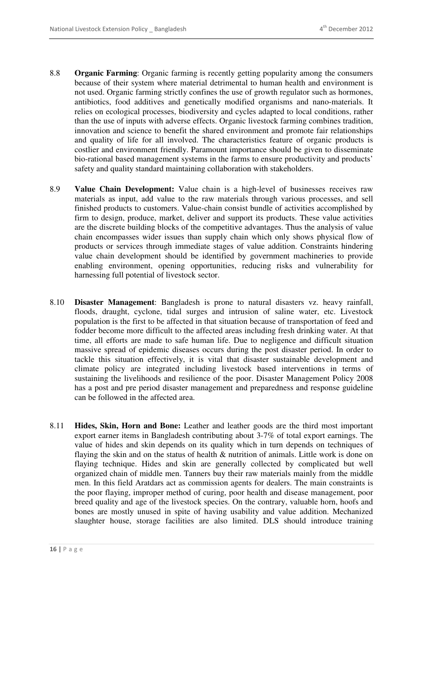- 8.8 **Organic Farming**: Organic farming is recently getting popularity among the consumers because of their system where material detrimental to human health and environment is not used. Organic farming strictly confines the use of growth regulator such as hormones, antibiotics, food additives and genetically modified organisms and nano-materials. It relies on ecological processes, biodiversity and cycles adapted to local conditions, rather than the use of inputs with adverse effects. Organic livestock farming combines tradition, innovation and science to benefit the shared environment and promote fair relationships and quality of life for all involved. The characteristics feature of organic products is costlier and environment friendly. Paramount importance should be given to disseminate bio-rational based management systems in the farms to ensure productivity and products' safety and quality standard maintaining collaboration with stakeholders.
- 8.9 **Value Chain Development:** Value chain is a high-level of businesses receives raw materials as input, add value to the raw materials through various processes, and sell finished products to customers. Value-chain consist bundle of activities accomplished by firm to design, produce, market, deliver and support its products. These value activities are the discrete building blocks of the competitive advantages. Thus the analysis of value chain encompasses wider issues than supply chain which only shows physical flow of products or services through immediate stages of value addition. Constraints hindering value chain development should be identified by government machineries to provide enabling environment, opening opportunities, reducing risks and vulnerability for harnessing full potential of livestock sector.
- 8.10 **Disaster Management**: Bangladesh is prone to natural disasters vz. heavy rainfall, floods, draught, cyclone, tidal surges and intrusion of saline water, etc. Livestock population is the first to be affected in that situation because of transportation of feed and fodder become more difficult to the affected areas including fresh drinking water. At that time, all efforts are made to safe human life. Due to negligence and difficult situation massive spread of epidemic diseases occurs during the post disaster period. In order to tackle this situation effectively, it is vital that disaster sustainable development and climate policy are integrated including livestock based interventions in terms of sustaining the livelihoods and resilience of the poor. Disaster Management Policy 2008 has a post and pre period disaster management and preparedness and response guideline can be followed in the affected area.
- 8.11 **Hides, Skin, Horn and Bone:** Leather and leather goods are the third most important export earner items in Bangladesh contributing about 3-7% of total export earnings. The value of hides and skin depends on its quality which in turn depends on techniques of flaying the skin and on the status of health  $\&$  nutrition of animals. Little work is done on flaying technique. Hides and skin are generally collected by complicated but well organized chain of middle men. Tanners buy their raw materials mainly from the middle men. In this field Aratdars act as commission agents for dealers. The main constraints is the poor flaying, improper method of curing, poor health and disease management, poor breed quality and age of the livestock species. On the contrary, valuable horn, hoofs and bones are mostly unused in spite of having usability and value addition. Mechanized slaughter house, storage facilities are also limited. DLS should introduce training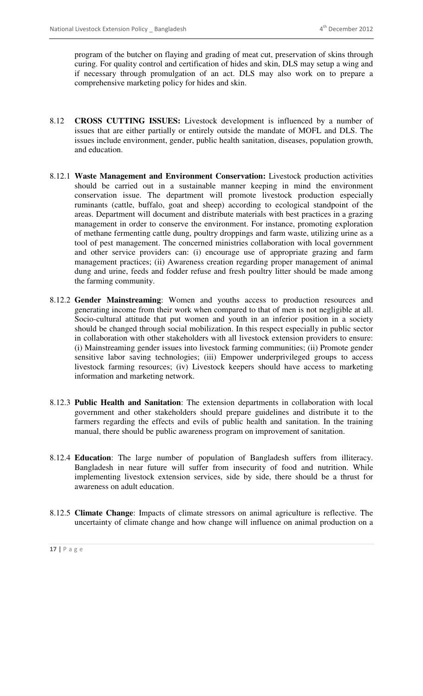program of the butcher on flaying and grading of meat cut, preservation of skins through curing. For quality control and certification of hides and skin, DLS may setup a wing and if necessary through promulgation of an act. DLS may also work on to prepare a comprehensive marketing policy for hides and skin.

- 8.12 **CROSS CUTTING ISSUES:** Livestock development is influenced by a number of issues that are either partially or entirely outside the mandate of MOFL and DLS. The issues include environment, gender, public health sanitation, diseases, population growth, and education.
- 8.12.1 **Waste Management and Environment Conservation:** Livestock production activities should be carried out in a sustainable manner keeping in mind the environment conservation issue. The department will promote livestock production especially ruminants (cattle, buffalo, goat and sheep) according to ecological standpoint of the areas. Department will document and distribute materials with best practices in a grazing management in order to conserve the environment. For instance, promoting exploration of methane fermenting cattle dung, poultry droppings and farm waste, utilizing urine as a tool of pest management. The concerned ministries collaboration with local government and other service providers can: (i) encourage use of appropriate grazing and farm management practices; (ii) Awareness creation regarding proper management of animal dung and urine, feeds and fodder refuse and fresh poultry litter should be made among the farming community.
- 8.12.2 **Gender Mainstreaming**: Women and youths access to production resources and generating income from their work when compared to that of men is not negligible at all. Socio-cultural attitude that put women and youth in an inferior position in a society should be changed through social mobilization. In this respect especially in public sector in collaboration with other stakeholders with all livestock extension providers to ensure: (i) Mainstreaming gender issues into livestock farming communities; (ii) Promote gender sensitive labor saving technologies; (iii) Empower underprivileged groups to access livestock farming resources; (iv) Livestock keepers should have access to marketing information and marketing network.
- 8.12.3 **Public Health and Sanitation**: The extension departments in collaboration with local government and other stakeholders should prepare guidelines and distribute it to the farmers regarding the effects and evils of public health and sanitation. In the training manual, there should be public awareness program on improvement of sanitation.
- 8.12.4 **Education**: The large number of population of Bangladesh suffers from illiteracy. Bangladesh in near future will suffer from insecurity of food and nutrition. While implementing livestock extension services, side by side, there should be a thrust for awareness on adult education.
- 8.12.5 **Climate Change**: Impacts of climate stressors on animal agriculture is reflective. The uncertainty of climate change and how change will influence on animal production on a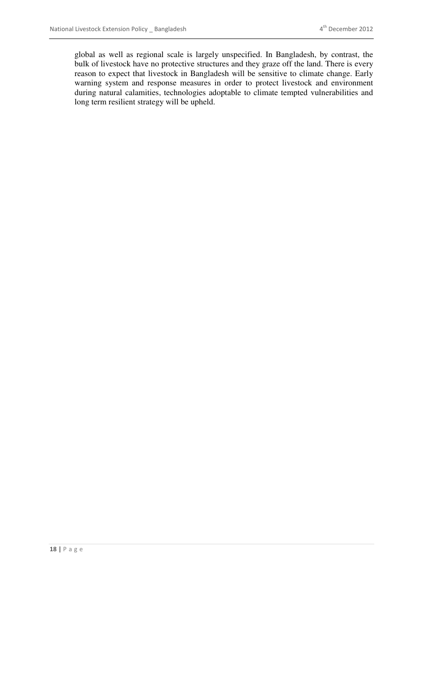global as well as regional scale is largely unspecified. In Bangladesh, by contrast, the bulk of livestock have no protective structures and they graze off the land. There is every reason to expect that livestock in Bangladesh will be sensitive to climate change. Early warning system and response measures in order to protect livestock and environment during natural calamities, technologies adoptable to climate tempted vulnerabilities and long term resilient strategy will be upheld.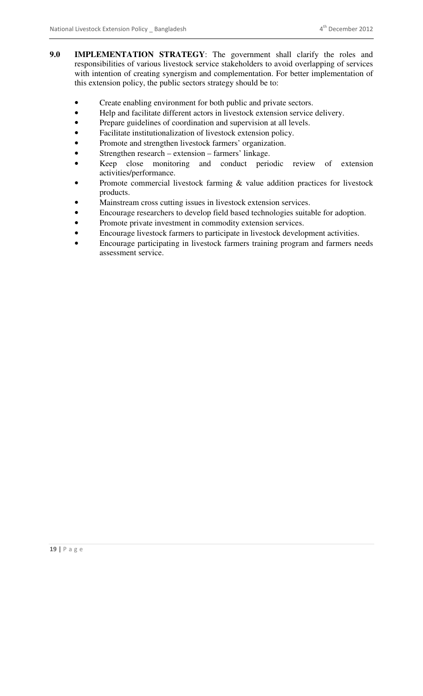- **9.0 IMPLEMENTATION STRATEGY**: The government shall clarify the roles and responsibilities of various livestock service stakeholders to avoid overlapping of services with intention of creating synergism and complementation. For better implementation of this extension policy, the public sectors strategy should be to:
	- Create enabling environment for both public and private sectors.
	- Help and facilitate different actors in livestock extension service delivery.
	- Prepare guidelines of coordination and supervision at all levels.
	- Facilitate institutionalization of livestock extension policy.
	- Promote and strengthen livestock farmers' organization.
	- Strengthen research extension farmers' linkage.
	- Keep close monitoring and conduct periodic review of extension activities/performance.
	- Promote commercial livestock farming  $\&$  value addition practices for livestock products.
	- Mainstream cross cutting issues in livestock extension services.
	- Encourage researchers to develop field based technologies suitable for adoption.
	- Promote private investment in commodity extension services.
	- Encourage livestock farmers to participate in livestock development activities.
	- Encourage participating in livestock farmers training program and farmers needs assessment service.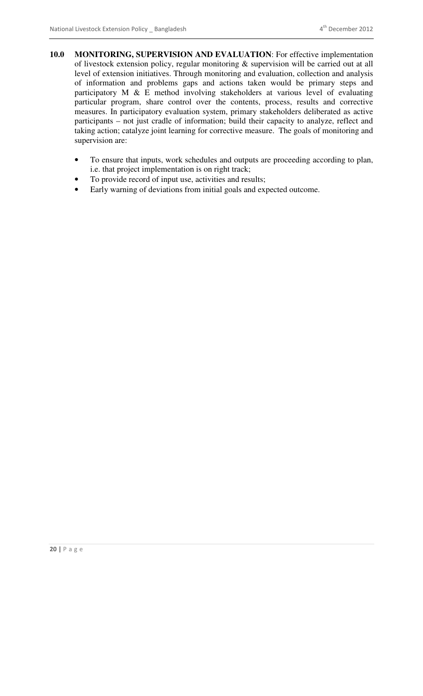- **10.0 MONITORING, SUPERVISION AND EVALUATION**: For effective implementation of livestock extension policy, regular monitoring & supervision will be carried out at all level of extension initiatives. Through monitoring and evaluation, collection and analysis of information and problems gaps and actions taken would be primary steps and participatory M & E method involving stakeholders at various level of evaluating particular program, share control over the contents, process, results and corrective measures. In participatory evaluation system, primary stakeholders deliberated as active participants – not just cradle of information; build their capacity to analyze, reflect and taking action; catalyze joint learning for corrective measure. The goals of monitoring and supervision are:
	- To ensure that inputs, work schedules and outputs are proceeding according to plan, i.e. that project implementation is on right track;
	- To provide record of input use, activities and results;
	- Early warning of deviations from initial goals and expected outcome.